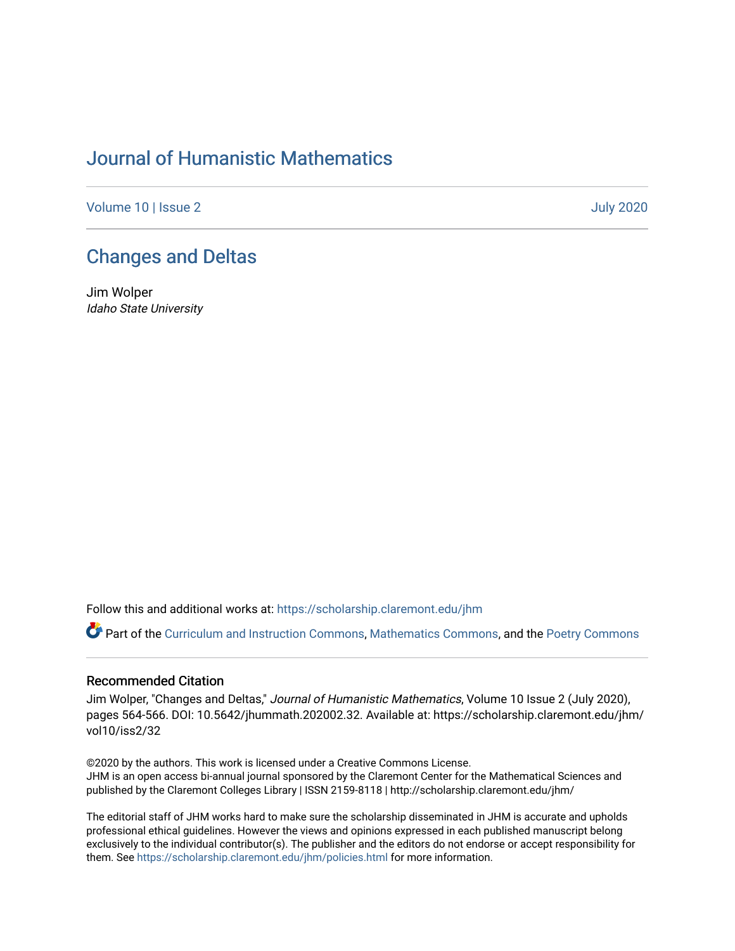## [Journal of Humanistic Mathematics](https://scholarship.claremont.edu/jhm)

[Volume 10](https://scholarship.claremont.edu/jhm/vol10) | [Issue 2 July 2020](https://scholarship.claremont.edu/jhm/vol10/iss2) 

## [Changes and Deltas](https://scholarship.claremont.edu/jhm/vol10/iss2/32)

Jim Wolper Idaho State University

Follow this and additional works at: [https://scholarship.claremont.edu/jhm](https://scholarship.claremont.edu/jhm?utm_source=scholarship.claremont.edu%2Fjhm%2Fvol10%2Fiss2%2F32&utm_medium=PDF&utm_campaign=PDFCoverPages)

Part of the [Curriculum and Instruction Commons,](http://network.bepress.com/hgg/discipline/786?utm_source=scholarship.claremont.edu%2Fjhm%2Fvol10%2Fiss2%2F32&utm_medium=PDF&utm_campaign=PDFCoverPages) [Mathematics Commons](http://network.bepress.com/hgg/discipline/174?utm_source=scholarship.claremont.edu%2Fjhm%2Fvol10%2Fiss2%2F32&utm_medium=PDF&utm_campaign=PDFCoverPages), and the Poetry Commons

## Recommended Citation

Jim Wolper, "Changes and Deltas," Journal of Humanistic Mathematics, Volume 10 Issue 2 (July 2020), pages 564-566. DOI: 10.5642/jhummath.202002.32. Available at: https://scholarship.claremont.edu/jhm/ vol10/iss2/32

©2020 by the authors. This work is licensed under a Creative Commons License. JHM is an open access bi-annual journal sponsored by the Claremont Center for the Mathematical Sciences and published by the Claremont Colleges Library | ISSN 2159-8118 | http://scholarship.claremont.edu/jhm/

The editorial staff of JHM works hard to make sure the scholarship disseminated in JHM is accurate and upholds professional ethical guidelines. However the views and opinions expressed in each published manuscript belong exclusively to the individual contributor(s). The publisher and the editors do not endorse or accept responsibility for them. See<https://scholarship.claremont.edu/jhm/policies.html> for more information.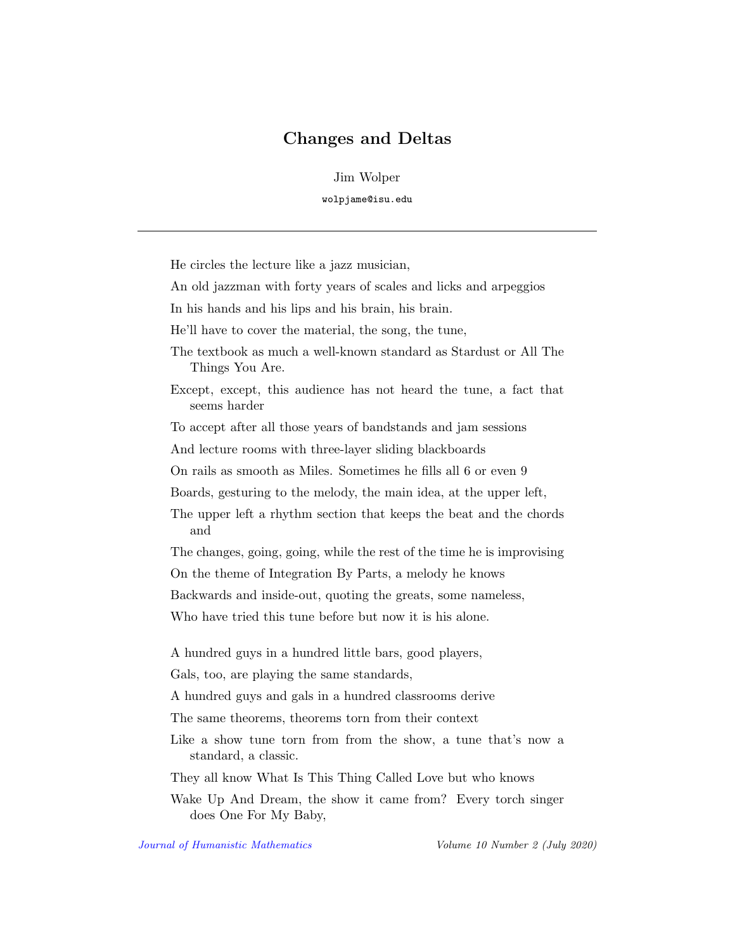## Changes and Deltas

Jim Wolper

wolpjame@isu.edu

He circles the lecture like a jazz musician,

An old jazzman with forty years of scales and licks and arpeggios

In his hands and his lips and his brain, his brain.

He'll have to cover the material, the song, the tune,

- The textbook as much a well-known standard as Stardust or All The Things You Are.
- Except, except, this audience has not heard the tune, a fact that seems harder

To accept after all those years of bandstands and jam sessions

And lecture rooms with three-layer sliding blackboards

On rails as smooth as Miles. Sometimes he fills all 6 or even 9

Boards, gesturing to the melody, the main idea, at the upper left,

The upper left a rhythm section that keeps the beat and the chords and

The changes, going, going, while the rest of the time he is improvising

On the theme of Integration By Parts, a melody he knows

Backwards and inside-out, quoting the greats, some nameless,

Who have tried this tune before but now it is his alone.

A hundred guys in a hundred little bars, good players,

Gals, too, are playing the same standards,

A hundred guys and gals in a hundred classrooms derive

The same theorems, theorems torn from their context

Like a show tune torn from from the show, a tune that's now a standard, a classic.

They all know What Is This Thing Called Love but who knows

Wake Up And Dream, the show it came from? Every torch singer does One For My Baby,

[Journal of Humanistic Mathematics](http://scholarship.claremont.edu/jhm/) Volume 10 Number 2 (July 2020)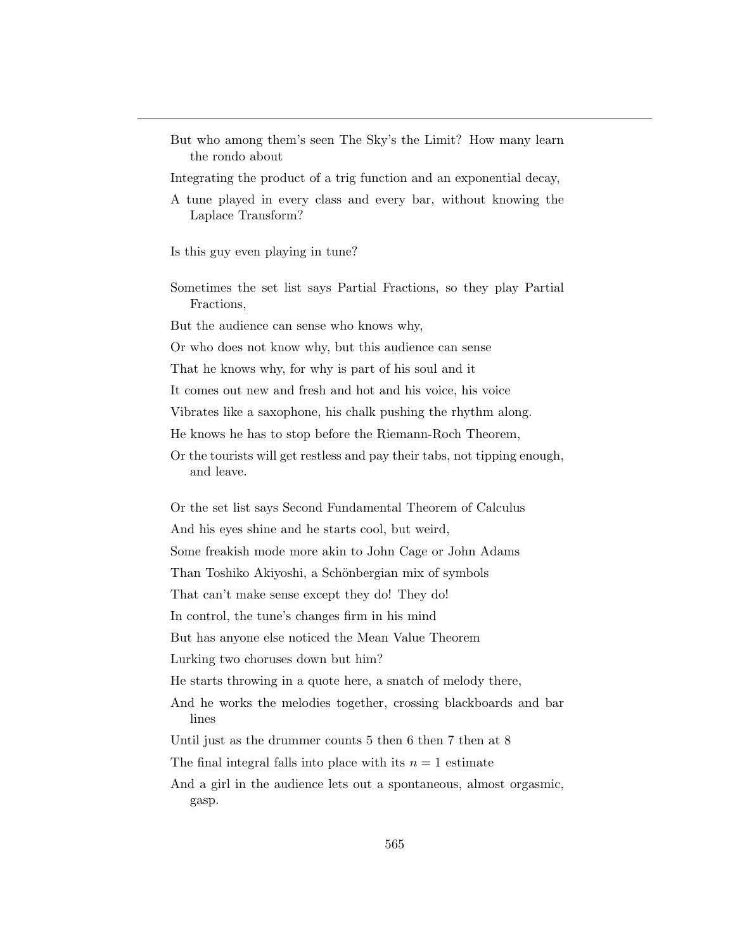But who among them's seen The Sky's the Limit? How many learn the rondo about

Integrating the product of a trig function and an exponential decay,

Is this guy even playing in tune?

Sometimes the set list says Partial Fractions, so they play Partial Fractions,

But the audience can sense who knows why,

Or who does not know why, but this audience can sense

That he knows why, for why is part of his soul and it

It comes out new and fresh and hot and his voice, his voice

Vibrates like a saxophone, his chalk pushing the rhythm along.

He knows he has to stop before the Riemann-Roch Theorem,

Or the tourists will get restless and pay their tabs, not tipping enough, and leave.

Or the set list says Second Fundamental Theorem of Calculus And his eyes shine and he starts cool, but weird, Some freakish mode more akin to John Cage or John Adams Than Toshiko Akiyoshi, a Schönbergian mix of symbols That can't make sense except they do! They do! In control, the tune's changes firm in his mind But has anyone else noticed the Mean Value Theorem Lurking two choruses down but him? He starts throwing in a quote here, a snatch of melody there, And he works the melodies together, crossing blackboards and bar lines Until just as the drummer counts 5 then 6 then 7 then at 8

The final integral falls into place with its  $n = 1$  estimate

And a girl in the audience lets out a spontaneous, almost orgasmic, gasp.

A tune played in every class and every bar, without knowing the Laplace Transform?